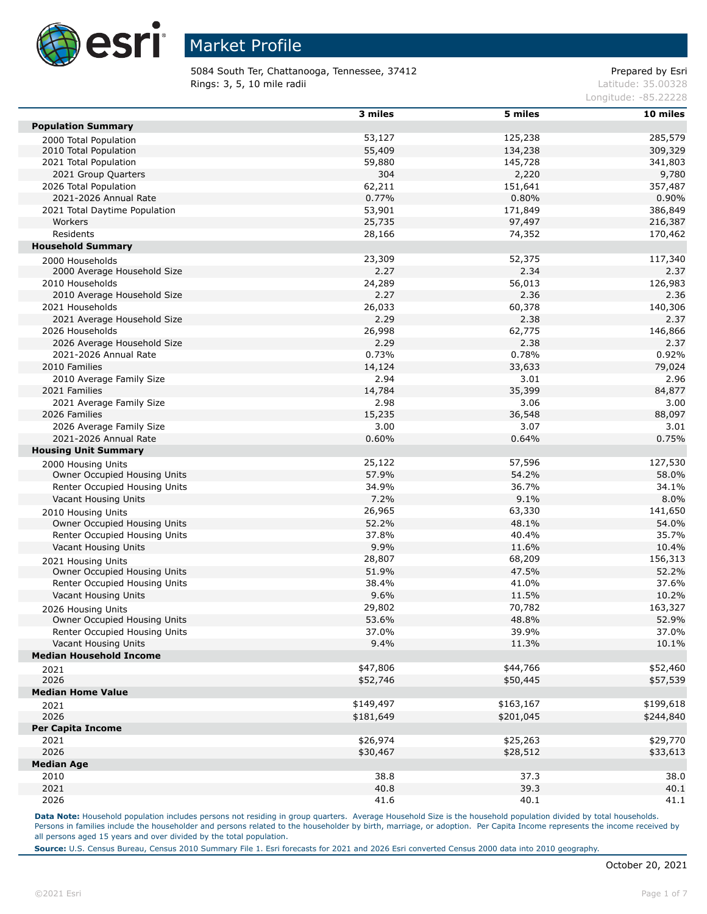

5084 South Ter, Chattanooga, Tennessee, 37412 Prepared by Esri Rings: 3, 5, 10 mile radii and the contract of the contract of the contract of the contract of the contract of the contract of the contract of the contract of the contract of the contract of the contract of the contract of

Longitude: -85.22228

|                                                    | 3 miles   | 5 miles   | 10 miles  |
|----------------------------------------------------|-----------|-----------|-----------|
| <b>Population Summary</b>                          |           |           |           |
| 2000 Total Population                              | 53,127    | 125,238   | 285,579   |
| 2010 Total Population                              | 55,409    | 134,238   | 309,329   |
| 2021 Total Population                              | 59,880    | 145,728   | 341,803   |
| 2021 Group Quarters                                | 304       | 2,220     | 9,780     |
| 2026 Total Population                              | 62,211    | 151,641   | 357,487   |
| 2021-2026 Annual Rate                              | 0.77%     | 0.80%     | 0.90%     |
| 2021 Total Daytime Population                      | 53,901    | 171,849   | 386,849   |
| Workers                                            | 25,735    | 97,497    | 216,387   |
| Residents                                          | 28,166    | 74,352    | 170,462   |
| <b>Household Summary</b>                           |           |           |           |
| 2000 Households                                    | 23,309    | 52,375    | 117,340   |
| 2000 Average Household Size                        | 2.27      | 2.34      | 2.37      |
| 2010 Households                                    | 24,289    | 56,013    | 126,983   |
| 2010 Average Household Size                        | 2.27      | 2.36      | 2.36      |
| 2021 Households                                    | 26,033    | 60,378    | 140,306   |
| 2021 Average Household Size                        | 2.29      | 2.38      | 2.37      |
| 2026 Households                                    | 26,998    | 62,775    | 146,866   |
| 2026 Average Household Size                        | 2.29      | 2.38      | 2.37      |
| 2021-2026 Annual Rate                              | 0.73%     | 0.78%     | 0.92%     |
| 2010 Families                                      | 14,124    | 33,633    | 79,024    |
| 2010 Average Family Size                           | 2.94      | 3.01      | 2.96      |
| 2021 Families                                      | 14,784    | 35,399    | 84,877    |
| 2021 Average Family Size                           | 2.98      | 3.06      | 3.00      |
| 2026 Families                                      | 15,235    | 36,548    | 88,097    |
| 2026 Average Family Size                           | 3.00      | 3.07      | 3.01      |
| 2021-2026 Annual Rate                              | 0.60%     | 0.64%     | 0.75%     |
| <b>Housing Unit Summary</b>                        |           |           |           |
| 2000 Housing Units                                 | 25,122    | 57,596    | 127,530   |
| Owner Occupied Housing Units                       | 57.9%     | 54.2%     | 58.0%     |
| Renter Occupied Housing Units                      | 34.9%     | 36.7%     | 34.1%     |
| Vacant Housing Units                               | 7.2%      | 9.1%      | 8.0%      |
| 2010 Housing Units                                 | 26,965    | 63,330    | 141,650   |
| Owner Occupied Housing Units                       | 52.2%     | 48.1%     | 54.0%     |
| Renter Occupied Housing Units                      | 37.8%     | 40.4%     | 35.7%     |
| Vacant Housing Units                               | 9.9%      | 11.6%     | 10.4%     |
|                                                    | 28,807    | 68,209    | 156,313   |
| 2021 Housing Units<br>Owner Occupied Housing Units | 51.9%     | 47.5%     | 52.2%     |
| Renter Occupied Housing Units                      | 38.4%     | 41.0%     | 37.6%     |
| Vacant Housing Units                               | 9.6%      | 11.5%     | 10.2%     |
|                                                    | 29,802    | 70,782    | 163,327   |
| 2026 Housing Units<br>Owner Occupied Housing Units | 53.6%     | 48.8%     | 52.9%     |
| Renter Occupied Housing Units                      | 37.0%     | 39.9%     | 37.0%     |
| Vacant Housing Units                               | 9.4%      | 11.3%     | 10.1%     |
| <b>Median Household Income</b>                     |           |           |           |
|                                                    | \$47,806  | \$44,766  | \$52,460  |
| 2021<br>2026                                       | \$52,746  | \$50,445  | \$57,539  |
| <b>Median Home Value</b>                           |           |           |           |
|                                                    | \$149,497 | \$163,167 | \$199,618 |
| 2021<br>2026                                       | \$181,649 | \$201,045 | \$244,840 |
| <b>Per Capita Income</b>                           |           |           |           |
| 2021                                               | \$26,974  | \$25,263  | \$29,770  |
| 2026                                               | \$30,467  | \$28,512  | \$33,613  |
| <b>Median Age</b>                                  |           |           |           |
| 2010                                               | 38.8      | 37.3      | 38.0      |
| 2021                                               | 40.8      | 39.3      | 40.1      |
| 2026                                               | 41.6      | 40.1      |           |
|                                                    |           |           | 41.1      |

Data Note: Household population includes persons not residing in group quarters. Average Household Size is the household population divided by total households. Persons in families include the householder and persons related to the householder by birth, marriage, or adoption. Per Capita Income represents the income received by all persons aged 15 years and over divided by the total population.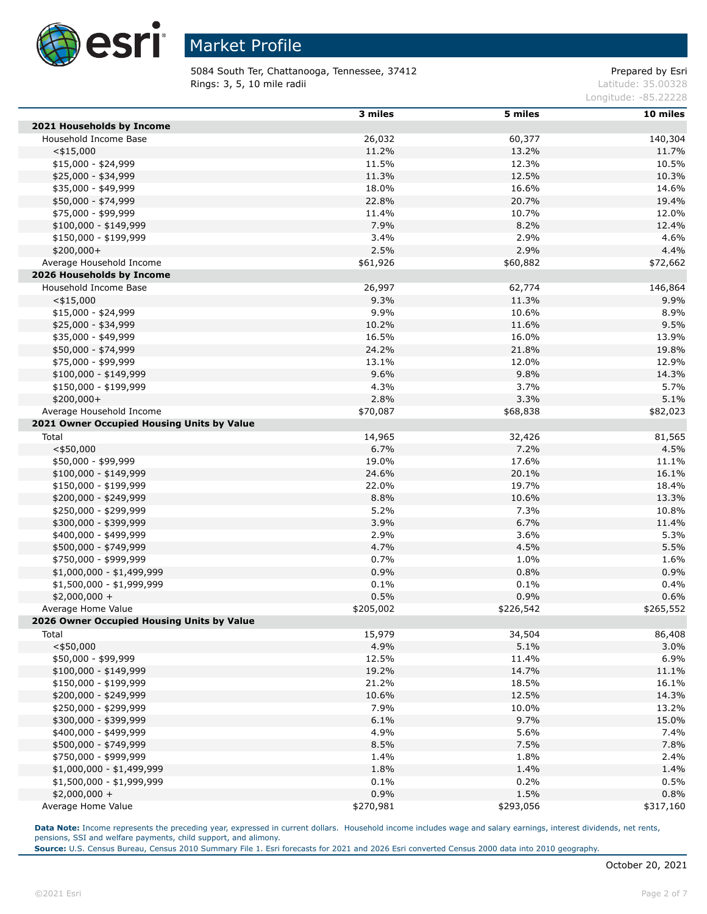

5084 South Ter, Chattanooga, Tennessee, 37412 Prepared by Esri Rings: 3, 5, 10 mile radii and the contract of the contract of the contract of the contract of the contract of the contract of the contract of the contract of the contract of the contract of the contract of the contract of

Longitude: -85.22228

|                                            | 3 miles   | 5 miles   | 10 miles  |
|--------------------------------------------|-----------|-----------|-----------|
| 2021 Households by Income                  |           |           |           |
| Household Income Base                      | 26,032    | 60,377    | 140,304   |
| $<$ \$15,000                               | 11.2%     | 13.2%     | 11.7%     |
| $$15,000 - $24,999$                        | 11.5%     | 12.3%     | 10.5%     |
| \$25,000 - \$34,999                        | 11.3%     | 12.5%     | 10.3%     |
| \$35,000 - \$49,999                        | 18.0%     | 16.6%     | 14.6%     |
| \$50,000 - \$74,999                        | 22.8%     | 20.7%     | 19.4%     |
| \$75,000 - \$99,999                        | 11.4%     | 10.7%     | 12.0%     |
| \$100,000 - \$149,999                      | 7.9%      | 8.2%      | 12.4%     |
| \$150,000 - \$199,999                      | 3.4%      | 2.9%      | 4.6%      |
| $$200,000+$                                | 2.5%      | 2.9%      | 4.4%      |
| Average Household Income                   | \$61,926  | \$60,882  | \$72,662  |
| 2026 Households by Income                  |           |           |           |
| Household Income Base                      | 26,997    | 62,774    | 146,864   |
|                                            |           |           |           |
| $<$ \$15,000                               | 9.3%      | 11.3%     | 9.9%      |
| $$15,000 - $24,999$                        | 9.9%      | 10.6%     | 8.9%      |
| \$25,000 - \$34,999                        | 10.2%     | 11.6%     | 9.5%      |
| \$35,000 - \$49,999                        | 16.5%     | 16.0%     | 13.9%     |
| \$50,000 - \$74,999                        | 24.2%     | 21.8%     | 19.8%     |
| \$75,000 - \$99,999                        | 13.1%     | 12.0%     | 12.9%     |
| $$100,000 - $149,999$                      | 9.6%      | 9.8%      | 14.3%     |
| \$150,000 - \$199,999                      | 4.3%      | 3.7%      | 5.7%      |
| $$200,000+$                                | 2.8%      | 3.3%      | 5.1%      |
| Average Household Income                   | \$70,087  | \$68,838  | \$82,023  |
| 2021 Owner Occupied Housing Units by Value |           |           |           |
| Total                                      | 14,965    | 32,426    | 81,565    |
| $<$ \$50,000                               | 6.7%      | 7.2%      | 4.5%      |
| \$50,000 - \$99,999                        | 19.0%     | 17.6%     | 11.1%     |
| \$100,000 - \$149,999                      | 24.6%     | 20.1%     | 16.1%     |
| \$150,000 - \$199,999                      | 22.0%     | 19.7%     | 18.4%     |
| \$200,000 - \$249,999                      | 8.8%      | 10.6%     | 13.3%     |
| \$250,000 - \$299,999                      | 5.2%      | 7.3%      | 10.8%     |
| \$300,000 - \$399,999                      | 3.9%      | 6.7%      | 11.4%     |
| \$400,000 - \$499,999                      | 2.9%      | 3.6%      | 5.3%      |
| \$500,000 - \$749,999                      | 4.7%      | 4.5%      | 5.5%      |
| \$750,000 - \$999,999                      | 0.7%      | 1.0%      | 1.6%      |
| \$1,000,000 - \$1,499,999                  | 0.9%      | 0.8%      | 0.9%      |
| \$1,500,000 - \$1,999,999                  | 0.1%      | 0.1%      | 0.4%      |
| $$2,000,000 +$                             | 0.5%      | 0.9%      | 0.6%      |
| Average Home Value                         | \$205,002 | \$226,542 | \$265,552 |
| 2026 Owner Occupied Housing Units by Value |           |           |           |
| Total                                      | 15,979    | 34,504    | 86,408    |
| $<$ \$50,000                               | 4.9%      | 5.1%      | 3.0%      |
|                                            | 12.5%     | 11.4%     | 6.9%      |
| \$50,000 - \$99,999                        |           |           |           |
| \$100,000 - \$149,999                      | 19.2%     | 14.7%     | 11.1%     |
| \$150,000 - \$199,999                      | 21.2%     | 18.5%     | 16.1%     |
| \$200,000 - \$249,999                      | 10.6%     | 12.5%     | 14.3%     |
| \$250,000 - \$299,999                      | 7.9%      | 10.0%     | 13.2%     |
| \$300,000 - \$399,999                      | 6.1%      | 9.7%      | 15.0%     |
| \$400,000 - \$499,999                      | 4.9%      | 5.6%      | 7.4%      |
| \$500,000 - \$749,999                      | 8.5%      | 7.5%      | 7.8%      |
| \$750,000 - \$999,999                      | 1.4%      | 1.8%      | 2.4%      |
| $$1,000,000 - $1,499,999$                  | 1.8%      | 1.4%      | 1.4%      |
| $$1,500,000 - $1,999,999$                  | 0.1%      | 0.2%      | 0.5%      |
| $$2,000,000 +$                             | 0.9%      | 1.5%      | 0.8%      |
| Average Home Value                         | \$270,981 | \$293,056 | \$317,160 |

**Data Note:** Income represents the preceding year, expressed in current dollars. Household income includes wage and salary earnings, interest dividends, net rents, pensions, SSI and welfare payments, child support, and alimony.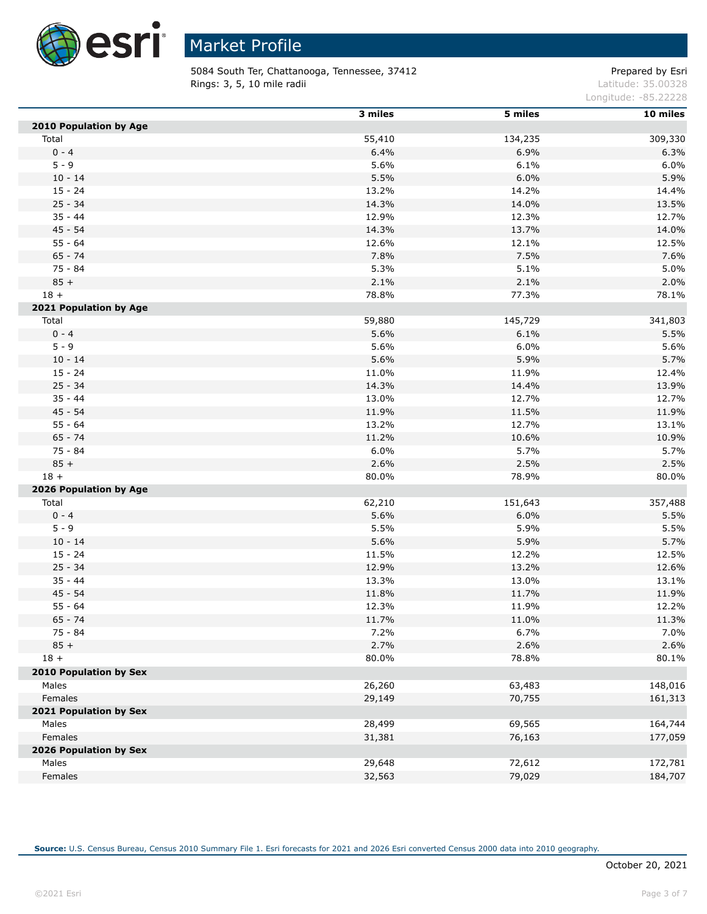

5084 South Ter, Chattanooga, Tennessee, 37412 Prepared by Esri Rings: 3, 5, 10 mile radii and the contract of the contract of the contract of the contract of the contract of the contract of the contract of the contract of the contract of the contract of the contract of the contract of

Longitude: -85.22228

|                               | 3 miles | 5 miles | 10 miles |
|-------------------------------|---------|---------|----------|
| 2010 Population by Age        |         |         |          |
| Total                         | 55,410  | 134,235 | 309,330  |
| $0 - 4$                       | 6.4%    | 6.9%    | 6.3%     |
| $5 - 9$                       | 5.6%    | 6.1%    | 6.0%     |
| $10 - 14$                     | 5.5%    | 6.0%    | 5.9%     |
| $15 - 24$                     | 13.2%   | 14.2%   | 14.4%    |
| $25 - 34$                     | 14.3%   | 14.0%   | 13.5%    |
| $35 - 44$                     | 12.9%   | 12.3%   | 12.7%    |
| $45 - 54$                     | 14.3%   | 13.7%   | 14.0%    |
| $55 - 64$                     | 12.6%   | 12.1%   | 12.5%    |
| $65 - 74$                     | 7.8%    | 7.5%    | 7.6%     |
| 75 - 84                       | 5.3%    | 5.1%    | 5.0%     |
| $85 +$                        | 2.1%    | 2.1%    | 2.0%     |
| $18 +$                        | 78.8%   | 77.3%   | 78.1%    |
| 2021 Population by Age        |         |         |          |
| Total                         | 59,880  | 145,729 | 341,803  |
| $0 - 4$                       | 5.6%    | 6.1%    | 5.5%     |
| $5 - 9$                       | 5.6%    | 6.0%    | 5.6%     |
| $10 - 14$                     | 5.6%    | 5.9%    | 5.7%     |
| $15 - 24$                     | 11.0%   | 11.9%   | 12.4%    |
| $25 - 34$                     | 14.3%   | 14.4%   | 13.9%    |
| $35 - 44$                     | 13.0%   | 12.7%   | 12.7%    |
| $45 - 54$                     | 11.9%   | 11.5%   | 11.9%    |
| $55 - 64$                     | 13.2%   | 12.7%   | 13.1%    |
| $65 - 74$                     | 11.2%   | 10.6%   | 10.9%    |
| 75 - 84                       | 6.0%    | 5.7%    | 5.7%     |
| $85 +$                        | 2.6%    | 2.5%    | 2.5%     |
| $18 +$                        | 80.0%   | 78.9%   | 80.0%    |
| 2026 Population by Age        |         |         |          |
| Total                         | 62,210  | 151,643 | 357,488  |
| $0 - 4$                       | 5.6%    | 6.0%    | 5.5%     |
| $5 - 9$                       | 5.5%    | 5.9%    | 5.5%     |
| $10 - 14$                     | 5.6%    | 5.9%    | 5.7%     |
| $15 - 24$                     | 11.5%   | 12.2%   | 12.5%    |
| $25 - 34$                     | 12.9%   | 13.2%   | 12.6%    |
| $35 - 44$                     | 13.3%   | 13.0%   | 13.1%    |
| $45 - 54$                     | 11.8%   | 11.7%   | 11.9%    |
| $55 - 64$                     | 12.3%   | 11.9%   | 12.2%    |
| $65 - 74$                     | 11.7%   | 11.0%   | 11.3%    |
| $75 - 84$                     | 7.2%    | 6.7%    | 7.0%     |
| $85 +$                        | 2.7%    | 2.6%    | 2.6%     |
| $18 +$                        | 80.0%   | 78.8%   | 80.1%    |
| <b>2010 Population by Sex</b> |         |         |          |
| Males                         | 26,260  | 63,483  | 148,016  |
| Females                       | 29,149  | 70,755  | 161,313  |
| 2021 Population by Sex        |         |         |          |
| Males                         | 28,499  | 69,565  | 164,744  |
| Females                       | 31,381  | 76,163  | 177,059  |
| 2026 Population by Sex        |         |         |          |
| Males                         | 29,648  | 72,612  | 172,781  |
| Females                       | 32,563  | 79,029  | 184,707  |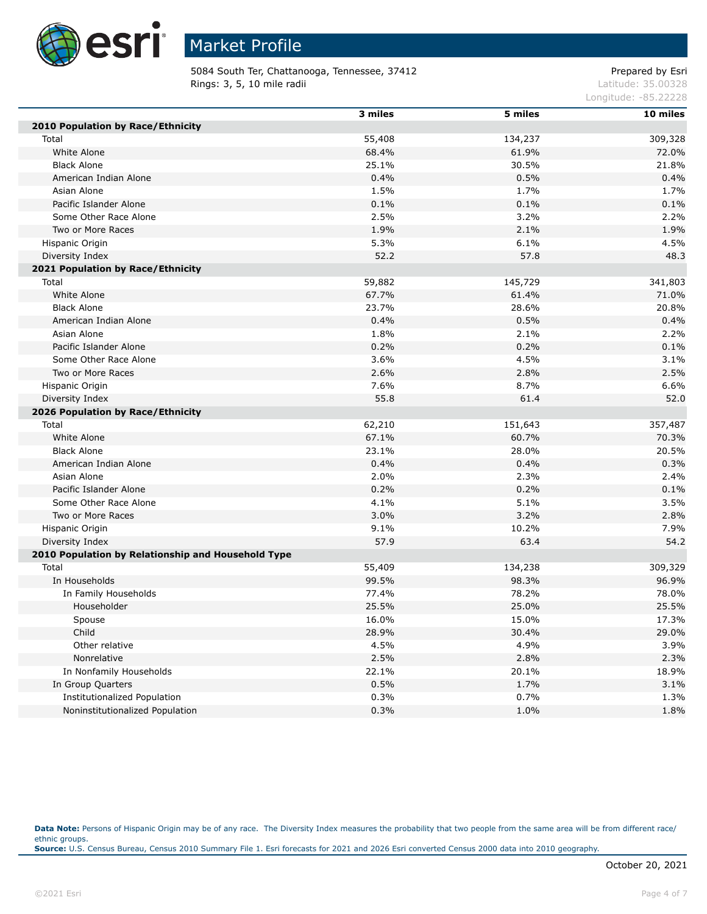

5084 South Ter, Chattanooga, Tennessee, 37412 Prepared by Esri Rings: 3, 5, 10 mile radii and the contract of the contract of the contract of the contract of the contract of the contract of the contract of the contract of the contract of the contract of the contract of the contract of

Longitude: -85.22228

|                                                    | 3 miles | 5 miles | 10 miles |
|----------------------------------------------------|---------|---------|----------|
| 2010 Population by Race/Ethnicity                  |         |         |          |
| Total                                              | 55,408  | 134,237 | 309,328  |
| White Alone                                        | 68.4%   | 61.9%   | 72.0%    |
| <b>Black Alone</b>                                 | 25.1%   | 30.5%   | 21.8%    |
| American Indian Alone                              | 0.4%    | 0.5%    | 0.4%     |
| Asian Alone                                        | 1.5%    | 1.7%    | 1.7%     |
| Pacific Islander Alone                             | 0.1%    | 0.1%    | 0.1%     |
| Some Other Race Alone                              | 2.5%    | 3.2%    | 2.2%     |
| Two or More Races                                  | 1.9%    | 2.1%    | 1.9%     |
| Hispanic Origin                                    | 5.3%    | 6.1%    | 4.5%     |
| Diversity Index                                    | 52.2    | 57.8    | 48.3     |
| 2021 Population by Race/Ethnicity                  |         |         |          |
| Total                                              | 59,882  | 145,729 | 341,803  |
| White Alone                                        | 67.7%   | 61.4%   | 71.0%    |
| <b>Black Alone</b>                                 | 23.7%   | 28.6%   | 20.8%    |
| American Indian Alone                              | 0.4%    | 0.5%    | 0.4%     |
| Asian Alone                                        | 1.8%    | 2.1%    | 2.2%     |
| Pacific Islander Alone                             | 0.2%    | 0.2%    | 0.1%     |
| Some Other Race Alone                              | 3.6%    | 4.5%    | 3.1%     |
| Two or More Races                                  | 2.6%    | 2.8%    | 2.5%     |
| Hispanic Origin                                    | 7.6%    | 8.7%    | 6.6%     |
| Diversity Index                                    | 55.8    | 61.4    | 52.0     |
| 2026 Population by Race/Ethnicity                  |         |         |          |
| Total                                              | 62,210  | 151,643 | 357,487  |
| White Alone                                        | 67.1%   | 60.7%   | 70.3%    |
| <b>Black Alone</b>                                 | 23.1%   | 28.0%   | 20.5%    |
| American Indian Alone                              | 0.4%    | 0.4%    | 0.3%     |
| Asian Alone                                        | 2.0%    | 2.3%    | 2.4%     |
| Pacific Islander Alone                             | 0.2%    | 0.2%    | 0.1%     |
| Some Other Race Alone                              | 4.1%    | 5.1%    | 3.5%     |
| Two or More Races                                  | 3.0%    | 3.2%    | 2.8%     |
| Hispanic Origin                                    | 9.1%    | 10.2%   | 7.9%     |
| Diversity Index                                    | 57.9    | 63.4    | 54.2     |
| 2010 Population by Relationship and Household Type |         |         |          |
| Total                                              | 55,409  | 134,238 | 309,329  |
| In Households                                      | 99.5%   | 98.3%   | 96.9%    |
| In Family Households                               | 77.4%   | 78.2%   | 78.0%    |
| Householder                                        | 25.5%   | 25.0%   | 25.5%    |
| Spouse                                             | 16.0%   | 15.0%   | 17.3%    |
| Child                                              | 28.9%   | 30.4%   | 29.0%    |
| Other relative                                     | 4.5%    | 4.9%    | 3.9%     |
| Nonrelative                                        | 2.5%    | 2.8%    | 2.3%     |
| In Nonfamily Households                            | 22.1%   | 20.1%   | 18.9%    |
| In Group Quarters                                  | 0.5%    | 1.7%    | 3.1%     |
| <b>Institutionalized Population</b>                | 0.3%    | 0.7%    | 1.3%     |
| Noninstitutionalized Population                    | 0.3%    | 1.0%    | 1.8%     |

Data Note: Persons of Hispanic Origin may be of any race. The Diversity Index measures the probability that two people from the same area will be from different race/ ethnic groups. **Source:** U.S. Census Bureau, Census 2010 Summary File 1. Esri forecasts for 2021 and 2026 Esri converted Census 2000 data into 2010 geography.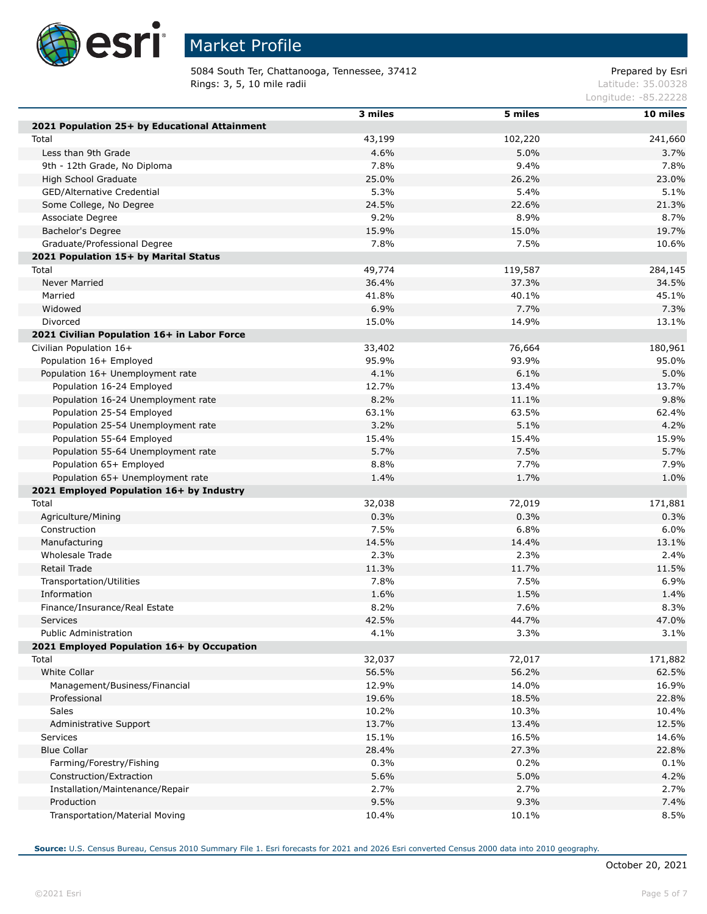

Г

Г

Г

# Market Profile

5084 South Ter, Chattanooga, Tennessee, 37412 Prepared by Esri Rings: 3, 5, 10 mile radii and the contract of the contract of the contract of the contract of the contract of the contract of the contract of the contract of the contract of the contract of the contract of the contract of

Longitude: -85.22228

|                                                         | 3 miles | 5 miles | 10 miles |
|---------------------------------------------------------|---------|---------|----------|
| 2021 Population 25+ by Educational Attainment           |         |         |          |
| Total                                                   | 43,199  | 102,220 | 241,660  |
| Less than 9th Grade                                     | 4.6%    | 5.0%    | 3.7%     |
| 9th - 12th Grade, No Diploma                            | 7.8%    | 9.4%    | 7.8%     |
| High School Graduate                                    | 25.0%   | 26.2%   | 23.0%    |
| GED/Alternative Credential                              | 5.3%    | 5.4%    | 5.1%     |
| Some College, No Degree                                 | 24.5%   | 22.6%   | 21.3%    |
| Associate Degree                                        | 9.2%    | 8.9%    | 8.7%     |
| Bachelor's Degree                                       | 15.9%   | 15.0%   | 19.7%    |
| Graduate/Professional Degree                            | 7.8%    | 7.5%    | 10.6%    |
| 2021 Population 15+ by Marital Status                   |         |         |          |
| Total                                                   | 49,774  | 119,587 | 284,145  |
| Never Married                                           | 36.4%   | 37.3%   | 34.5%    |
| Married                                                 | 41.8%   | 40.1%   | 45.1%    |
| Widowed                                                 | 6.9%    | 7.7%    | 7.3%     |
|                                                         |         |         |          |
| Divorced<br>2021 Civilian Population 16+ in Labor Force | 15.0%   | 14.9%   | 13.1%    |
|                                                         |         |         |          |
| Civilian Population 16+                                 | 33,402  | 76,664  | 180,961  |
| Population 16+ Employed                                 | 95.9%   | 93.9%   | 95.0%    |
| Population 16+ Unemployment rate                        | 4.1%    | 6.1%    | 5.0%     |
| Population 16-24 Employed                               | 12.7%   | 13.4%   | 13.7%    |
| Population 16-24 Unemployment rate                      | 8.2%    | 11.1%   | 9.8%     |
| Population 25-54 Employed                               | 63.1%   | 63.5%   | 62.4%    |
| Population 25-54 Unemployment rate                      | 3.2%    | 5.1%    | 4.2%     |
| Population 55-64 Employed                               | 15.4%   | 15.4%   | 15.9%    |
| Population 55-64 Unemployment rate                      | 5.7%    | 7.5%    | 5.7%     |
| Population 65+ Employed                                 | 8.8%    | 7.7%    | 7.9%     |
| Population 65+ Unemployment rate                        | 1.4%    | 1.7%    | 1.0%     |
| 2021 Employed Population 16+ by Industry                |         |         |          |
| Total                                                   | 32,038  | 72,019  | 171,881  |
| Agriculture/Mining                                      | 0.3%    | 0.3%    | 0.3%     |
| Construction                                            | 7.5%    | 6.8%    | 6.0%     |
| Manufacturing                                           | 14.5%   | 14.4%   | 13.1%    |
| Wholesale Trade                                         | 2.3%    | 2.3%    | 2.4%     |
| <b>Retail Trade</b>                                     | 11.3%   | 11.7%   | 11.5%    |
| Transportation/Utilities                                | 7.8%    | 7.5%    | 6.9%     |
| Information                                             | 1.6%    | 1.5%    | 1.4%     |
| Finance/Insurance/Real Estate                           | 8.2%    | 7.6%    | 8.3%     |
| <b>Services</b>                                         | 42.5%   | 44.7%   | 47.0%    |
| Public Administration                                   | 4.1%    | 3.3%    | 3.1%     |
| 2021 Employed Population 16+ by Occupation              |         |         |          |
| Total                                                   | 32,037  | 72,017  | 171,882  |
| White Collar                                            | 56.5%   | 56.2%   | 62.5%    |
| Management/Business/Financial                           | 12.9%   | 14.0%   | 16.9%    |
| Professional                                            | 19.6%   | 18.5%   | 22.8%    |
| Sales                                                   | 10.2%   | 10.3%   | 10.4%    |
| Administrative Support                                  | 13.7%   | 13.4%   | 12.5%    |
| Services                                                | 15.1%   | 16.5%   | 14.6%    |
| <b>Blue Collar</b>                                      | 28.4%   | 27.3%   | 22.8%    |
| Farming/Forestry/Fishing                                | 0.3%    | 0.2%    | 0.1%     |
| Construction/Extraction                                 | 5.6%    | 5.0%    | 4.2%     |
| Installation/Maintenance/Repair                         | 2.7%    | 2.7%    | 2.7%     |
| Production                                              | 9.5%    | 9.3%    | 7.4%     |
| Transportation/Material Moving                          | 10.4%   | 10.1%   | 8.5%     |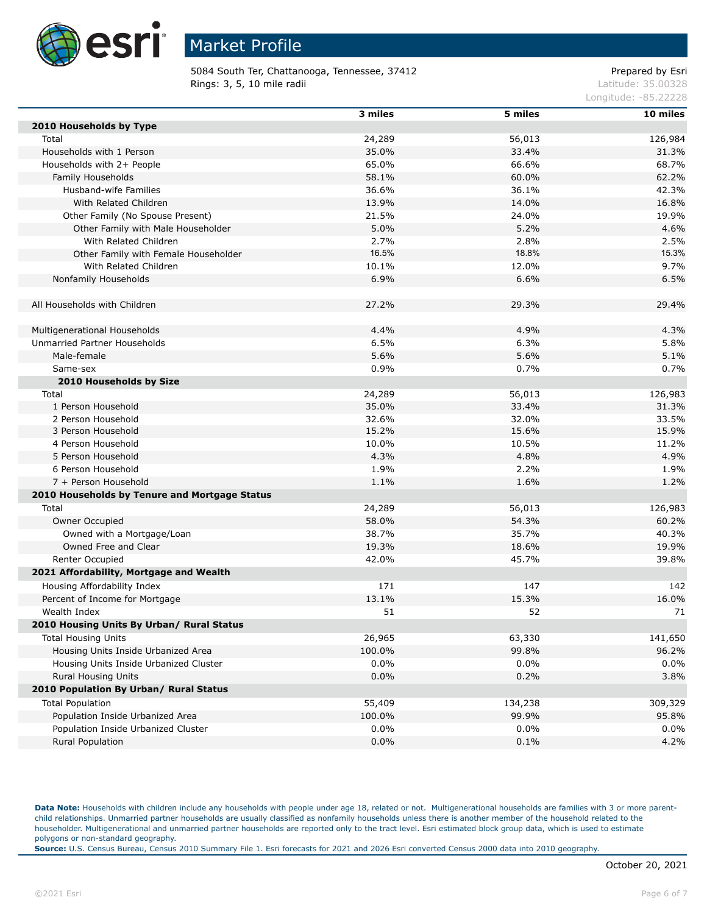

5084 South Ter, Chattanooga, Tennessee, 37412 Prepared by Esri Rings: 3, 5, 10 mile radii and the contract of the contract of the contract of the contract of the contract of the contract of the contract of the contract of the contract of the contract of the contract of the contract of

Longitude: -85.22228

|                                               | 3 miles | 5 miles | 10 miles |
|-----------------------------------------------|---------|---------|----------|
| 2010 Households by Type                       |         |         |          |
| Total                                         | 24,289  | 56,013  | 126,984  |
| Households with 1 Person                      | 35.0%   | 33.4%   | 31.3%    |
| Households with 2+ People                     | 65.0%   | 66.6%   | 68.7%    |
| Family Households                             | 58.1%   | 60.0%   | 62.2%    |
| Husband-wife Families                         | 36.6%   | 36.1%   | 42.3%    |
| With Related Children                         | 13.9%   | 14.0%   | 16.8%    |
| Other Family (No Spouse Present)              | 21.5%   | 24.0%   | 19.9%    |
| Other Family with Male Householder            | 5.0%    | 5.2%    | 4.6%     |
| With Related Children                         | 2.7%    | 2.8%    | 2.5%     |
| Other Family with Female Householder          | 16.5%   | 18.8%   | 15.3%    |
| With Related Children                         | 10.1%   | 12.0%   | 9.7%     |
| Nonfamily Households                          | 6.9%    | 6.6%    | 6.5%     |
|                                               |         |         |          |
| All Households with Children                  | 27.2%   | 29.3%   | 29.4%    |
|                                               |         |         |          |
| Multigenerational Households                  | 4.4%    | 4.9%    | 4.3%     |
| Unmarried Partner Households                  | 6.5%    | 6.3%    | 5.8%     |
| Male-female                                   | 5.6%    | 5.6%    | 5.1%     |
| Same-sex                                      | 0.9%    | 0.7%    | 0.7%     |
| 2010 Households by Size                       |         |         |          |
| Total                                         | 24,289  | 56,013  | 126,983  |
| 1 Person Household                            | 35.0%   | 33.4%   | 31.3%    |
| 2 Person Household                            | 32.6%   | 32.0%   | 33.5%    |
| 3 Person Household                            | 15.2%   | 15.6%   | 15.9%    |
| 4 Person Household                            | 10.0%   | 10.5%   | 11.2%    |
| 5 Person Household                            | 4.3%    | 4.8%    | 4.9%     |
| 6 Person Household                            | 1.9%    | 2.2%    | 1.9%     |
| 7 + Person Household                          | 1.1%    | 1.6%    | 1.2%     |
| 2010 Households by Tenure and Mortgage Status |         |         |          |
| Total                                         | 24,289  | 56,013  | 126,983  |
| Owner Occupied                                | 58.0%   | 54.3%   | 60.2%    |
| Owned with a Mortgage/Loan                    | 38.7%   | 35.7%   | 40.3%    |
| Owned Free and Clear                          | 19.3%   | 18.6%   | 19.9%    |
| Renter Occupied                               | 42.0%   | 45.7%   | 39.8%    |
| 2021 Affordability, Mortgage and Wealth       |         |         |          |
| Housing Affordability Index                   | 171     | 147     | 142      |
| Percent of Income for Mortgage                | 13.1%   | 15.3%   | 16.0%    |
| Wealth Index                                  | 51      | 52      | 71       |
| 2010 Housing Units By Urban/ Rural Status     |         |         |          |
| <b>Total Housing Units</b>                    | 26,965  | 63,330  | 141,650  |
| Housing Units Inside Urbanized Area           | 100.0%  | 99.8%   | 96.2%    |
| Housing Units Inside Urbanized Cluster        | 0.0%    | $0.0\%$ | 0.0%     |
| Rural Housing Units                           | 0.0%    | 0.2%    | 3.8%     |
| 2010 Population By Urban/ Rural Status        |         |         |          |
| <b>Total Population</b>                       | 55,409  | 134,238 | 309,329  |
| Population Inside Urbanized Area              | 100.0%  | 99.9%   | 95.8%    |
| Population Inside Urbanized Cluster           | 0.0%    | 0.0%    | 0.0%     |
| Rural Population                              | 0.0%    | 0.1%    | 4.2%     |

Data Note: Households with children include any households with people under age 18, related or not. Multigenerational households are families with 3 or more parentchild relationships. Unmarried partner households are usually classified as nonfamily households unless there is another member of the household related to the householder. Multigenerational and unmarried partner households are reported only to the tract level. Esri estimated block group data, which is used to estimate polygons or non-standard geography.